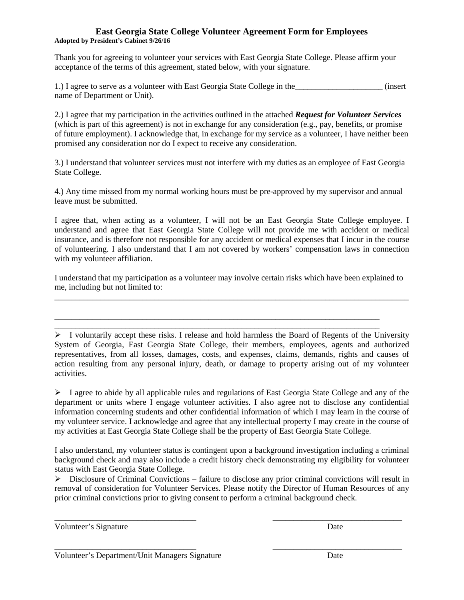## **East Georgia State College Volunteer Agreement Form for Employees Adopted by President's Cabinet 9/26/16**

Thank you for agreeing to volunteer your services with East Georgia State College. Please affirm your acceptance of the terms of this agreement, stated below, with your signature.

1.) I agree to serve as a volunteer with East Georgia State College in the the contract (insert name of Department or Unit).

2.) I agree that my participation in the activities outlined in the attached *Request for Volunteer Services*  (which is part of this agreement) is not in exchange for any consideration (e.g., pay, benefits, or promise of future employment). I acknowledge that, in exchange for my service as a volunteer, I have neither been promised any consideration nor do I expect to receive any consideration.

3.) I understand that volunteer services must not interfere with my duties as an employee of East Georgia State College.

4.) Any time missed from my normal working hours must be pre-approved by my supervisor and annual leave must be submitted.

I agree that, when acting as a volunteer, I will not be an East Georgia State College employee. I understand and agree that East Georgia State College will not provide me with accident or medical insurance, and is therefore not responsible for any accident or medical expenses that I incur in the course of volunteering. I also understand that I am not covered by workers' compensation laws in connection with my volunteer affiliation.

I understand that my participation as a volunteer may involve certain risks which have been explained to me, including but not limited to:

\_\_\_\_\_\_\_\_\_\_\_\_\_\_\_\_\_\_\_\_\_\_\_\_\_\_\_\_\_\_\_\_\_\_\_\_\_\_\_\_\_\_\_\_\_\_\_\_\_\_\_\_\_\_\_\_\_\_\_\_\_\_\_\_\_\_\_\_\_\_\_\_\_\_\_\_\_\_ \_\_\_\_\_\_\_\_\_\_\_\_\_\_\_\_\_\_\_\_\_\_\_\_\_\_\_\_\_\_\_\_\_\_\_\_\_\_\_\_\_\_\_\_\_\_\_\_\_\_\_\_\_\_\_\_\_\_\_\_\_\_\_\_\_\_\_\_\_\_\_\_\_\_\_\_\_\_

\_\_\_\_\_\_\_\_\_\_\_\_\_\_\_\_\_\_\_\_\_\_\_\_\_\_\_\_\_\_\_\_\_\_\_\_\_\_\_\_\_\_\_\_\_\_\_\_\_\_\_\_\_\_\_\_\_\_\_\_\_\_\_\_\_\_\_\_\_\_\_\_\_\_\_\_\_\_\_\_\_\_\_\_\_

 $\triangleright$  I voluntarily accept these risks. I release and hold harmless the Board of Regents of the University System of Georgia, East Georgia State College, their members, employees, agents and authorized representatives, from all losses, damages, costs, and expenses, claims, demands, rights and causes of action resulting from any personal injury, death, or damage to property arising out of my volunteer activities.

 $\triangleright$  I agree to abide by all applicable rules and regulations of East Georgia State College and any of the department or units where I engage volunteer activities. I also agree not to disclose any confidential information concerning students and other confidential information of which I may learn in the course of my volunteer service. I acknowledge and agree that any intellectual property I may create in the course of my activities at East Georgia State College shall be the property of East Georgia State College.

I also understand, my volunteer status is contingent upon a background investigation including a criminal background check and may also include a credit history check demonstrating my eligibility for volunteer status with East Georgia State College.

 $\triangleright$  Disclosure of Criminal Convictions – failure to disclose any prior criminal convictions will result in removal of consideration for Volunteer Services. Please notify the Director of Human Resources of any prior criminal convictions prior to giving consent to perform a criminal background check.

\_\_\_\_\_\_\_\_\_\_\_\_\_\_\_\_\_\_\_\_\_\_\_\_\_\_\_\_\_\_\_\_\_\_ \_\_\_\_\_\_\_\_\_\_\_\_\_\_\_\_\_\_\_\_\_\_\_\_\_\_\_\_\_\_\_

\_\_\_\_\_\_\_\_\_\_\_\_\_\_\_\_\_\_\_\_\_\_\_\_\_\_\_\_\_\_\_\_\_\_ \_\_\_\_\_\_\_\_\_\_\_\_\_\_\_\_\_\_\_\_\_\_\_\_\_\_\_\_\_\_\_

Volunteer's Signature Date

Volunteer's Department/Unit Managers Signature Date